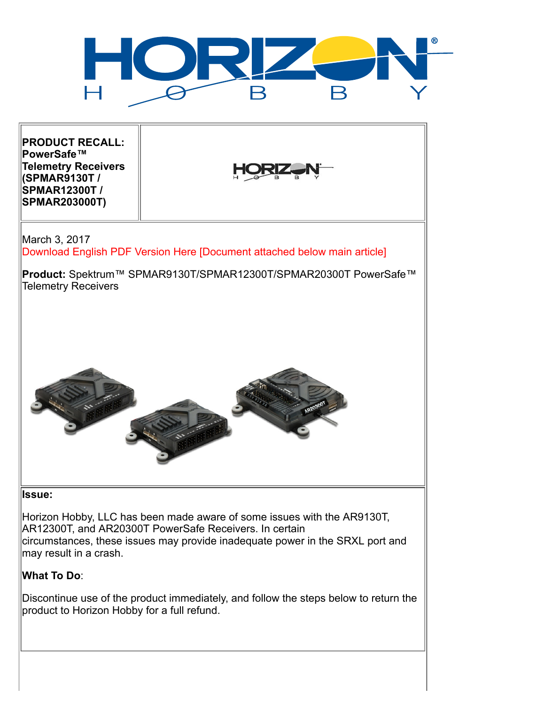

**PRODUCT RECALL: PowerSafe™ Telemetry Receivers (SPMAR9130T / SPMAR12300T / SPMAR203000T)**



March 3, 2017 Download English PDF Version Here [Document attached below main article]

**Product:** Spektrum™ SPMAR9130T/SPMAR12300T/SPMAR20300T PowerSafe™ Telemetry Receivers



## **Issue:**

Horizon Hobby, LLC has been made aware of some issues with the AR9130T, AR12300T, and AR20300T PowerSafe Receivers. In certain circumstances, these issues may provide inadequate power in the SRXL port and may result in a crash.

## **What To Do**:

Discontinue use of the product immediately, and follow the steps below to return the product to Horizon Hobby for a full refund.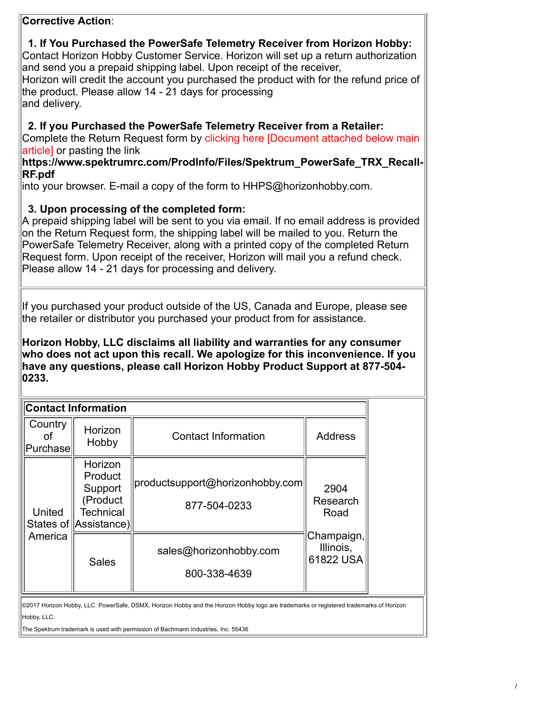# **Corrective Action**:

|                                                                                                                                                                                                                                                    | 1. If You Purchased the PowerSafe Telemetry Receiver from Horizon Hobby:<br>Contact Horizon Hobby Customer Service. Horizon will set up a return authorization<br>and send you a prepaid shipping label. Upon receipt of the receiver,<br>Horizon will credit the account you purchased the product with for the refund price of<br>the product. Please allow 14 - 21 days for processing<br>and delivery.                                                 |  |  |  |  |  |  |  |
|----------------------------------------------------------------------------------------------------------------------------------------------------------------------------------------------------------------------------------------------------|------------------------------------------------------------------------------------------------------------------------------------------------------------------------------------------------------------------------------------------------------------------------------------------------------------------------------------------------------------------------------------------------------------------------------------------------------------|--|--|--|--|--|--|--|
|                                                                                                                                                                                                                                                    | 2. If you Purchased the PowerSafe Telemetry Receiver from a Retailer:<br>Complete the Return Request form by clicking here [Document attached below main<br>article] or pasting the link<br>https://www.spektrumrc.com/ProdInfo/Files/Spektrum_PowerSafe_TRX_Recall-<br>RF.pdf                                                                                                                                                                             |  |  |  |  |  |  |  |
|                                                                                                                                                                                                                                                    | into your browser. E-mail a copy of the form to $HHPS@$ horizonhobby.com.                                                                                                                                                                                                                                                                                                                                                                                  |  |  |  |  |  |  |  |
|                                                                                                                                                                                                                                                    | 3. Upon processing of the completed form:<br>A prepaid shipping label will be sent to you via email. If no email address is provided<br>on the Return Request form, the shipping label will be mailed to you. Return the<br>PowerSafe Telemetry Receiver, along with a printed copy of the completed Return<br>Request form. Upon receipt of the receiver, Horizon will mail you a refund check.<br>Please allow 14 - 21 days for processing and delivery. |  |  |  |  |  |  |  |
|                                                                                                                                                                                                                                                    | If you purchased your product outside of the US, Canada and Europe, please see<br>the retailer or distributor you purchased your product from for assistance.                                                                                                                                                                                                                                                                                              |  |  |  |  |  |  |  |
| Horizon Hobby, LLC disclaims all liability and warranties for any consumer<br>who does not act upon this recall. We apologize for this inconvenience. If you<br>have any questions, please call Horizon Hobby Product Support at 877-504-<br>0233. |                                                                                                                                                                                                                                                                                                                                                                                                                                                            |  |  |  |  |  |  |  |
|                                                                                                                                                                                                                                                    | <b>Contact Information</b>                                                                                                                                                                                                                                                                                                                                                                                                                                 |  |  |  |  |  |  |  |
|                                                                                                                                                                                                                                                    | $C$ $\Omega$ untry                                                                                                                                                                                                                                                                                                                                                                                                                                         |  |  |  |  |  |  |  |

| oontavt mnonnation                                     |                                                 |                                                                  |  |  |
|--------------------------------------------------------|-------------------------------------------------|------------------------------------------------------------------|--|--|
| Horizon<br>Hobby                                       | <b>Contact Information</b>                      | <b>Address</b>                                                   |  |  |
| Horizon<br>Product<br>Support<br>Product)<br>Technical | productsupport@horizonhobby.com<br>877-504-0233 | 2904<br>Research<br>Road<br>Champaign,<br>Illinois,<br>61822 USA |  |  |
| <b>Sales</b>                                           | sales@horizonhobby.com<br>800-338-4639          |                                                                  |  |  |
|                                                        | ∥Purchase<br>States of Assistance)              |                                                                  |  |  |

©2017 Horizon Hobby, LLC. PowerSafe, DSMX, Horizon Hobby and the Horizon Hobby logo are trademarks or registered trademarks of Horizon Hobby, LLC.

The Spektrum trademark is used with permission of Bachmann Industries, Inc. 55436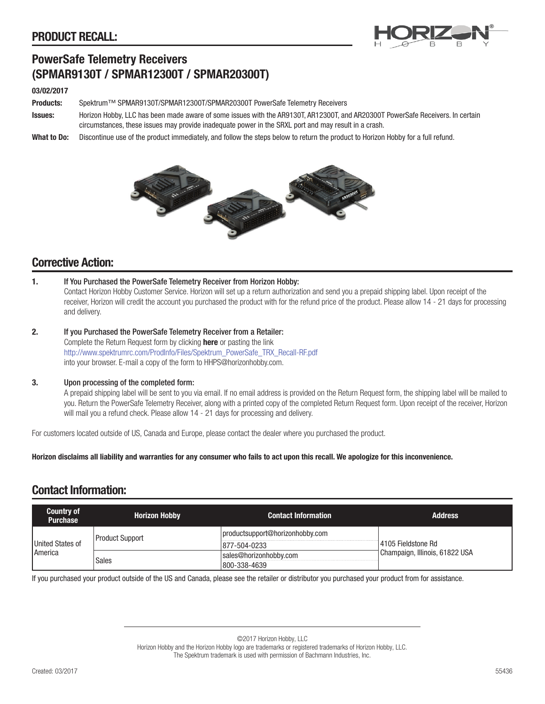

# PowerSafe Telemetry Receivers (SPMAR9130T / SPMAR12300T / SPMAR20300T)

#### 03/02/2017

Products: Spektrum™ SPMAR9130T/SPMAR12300T/SPMAR20300T PowerSafe Telemetry Receivers

Issues: Horizon Hobby, LLC has been made aware of some issues with the AR9130T, AR12300T, and AR20300T PowerSafe Receivers. In certain circumstances, these issues may provide inadequate power in the SRXL port and may result in a crash.

What to Do: Discontinue use of the product immediately, and follow the steps below to return the product to Horizon Hobby for a full refund.



# Corrective Action:

- 1. If You Purchased the PowerSafe Telemetry Receiver from Horizon Hobby: Contact Horizon Hobby Customer Service. Horizon will set up a return authorization and send you a prepaid shipping label. Upon receipt of the receiver, Horizon will credit the account you purchased the product with for the refund price of the product. Please allow 14 - 21 days for processing and delivery.
- 2. If you Purchased the PowerSafe Telemetry Receiver from a Retailer: Complete the Return Request form by clicking **[here](http://www.spektrumrc.com/ProdInfo/Files/Spektrum_PowerSafe_TRX_Recall-RF.pdf)** or pasting the link http://www.spektrumrc.com/ProdInfo/Files/Spektrum\_PowerSafe\_TRX\_Recall-RF.pdf into your browser. E-mail a copy of the form to HHPS@horizonhobby.com.

#### 3. Upon processing of the completed form:

A prepaid shipping label will be sent to you via email. If no email address is provided on the Return Request form, the shipping label will be mailed to you. Return the PowerSafe Telemetry Receiver, along with a printed copy of the completed Return Request form. Upon receipt of the receiver, Horizon will mail you a refund check. Please allow 14 - 21 days for processing and delivery.

For customers located outside of US, Canada and Europe, please contact the dealer where you purchased the product.

Horizon disclaims all liability and warranties for any consumer who fails to act upon this recall. We apologize for this inconvenience.

## Contact Information:

| <b>Country of</b><br><b>Purchase</b> | <b>Horizon Hobby</b> | <b>Contact Information</b>      | <b>Address</b>                 |  |
|--------------------------------------|----------------------|---------------------------------|--------------------------------|--|
|                                      | Product Support      | productsupport@horizonhobby.com |                                |  |
| United States of<br><b>America</b>   |                      | 877-504-0233                    | l 4105 Fieldstone Rd           |  |
|                                      | <b>Sales</b>         | sales@horizonhobby.com          | Champaign, Illinois, 61822 USA |  |
|                                      |                      | 800-338-4639                    |                                |  |

If you purchased your product outside of the US and Canada, please see the retailer or distributor you purchased your product from for assistance.

©2017 Horizon Hobby, LLC Horizon Hobby and the Horizon Hobby logo are trademarks or registered trademarks of Horizon Hobby, LLC. The Spektrum trademark is used with permission of Bachmann Industries, Inc.